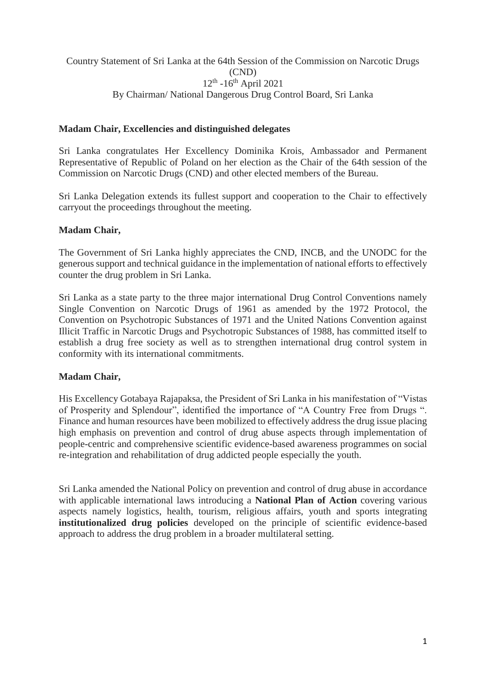Country Statement of Sri Lanka at the 64th Session of the Commission on Narcotic Drugs (CND) 12<sup>th</sup> -16<sup>th</sup> April 2021 By Chairman/ National Dangerous Drug Control Board, Sri Lanka

### **Madam Chair, Excellencies and distinguished delegates**

Sri Lanka congratulates Her Excellency Dominika Krois, Ambassador and Permanent Representative of Republic of Poland on her election as the Chair of the 64th session of the Commission on Narcotic Drugs (CND) and other elected members of the Bureau.

Sri Lanka Delegation extends its fullest support and cooperation to the Chair to effectively carryout the proceedings throughout the meeting.

### **Madam Chair,**

The Government of Sri Lanka highly appreciates the CND, INCB, and the UNODC for the generous support and technical guidance in the implementation of national efforts to effectively counter the drug problem in Sri Lanka.

Sri Lanka as a state party to the three major international Drug Control Conventions namely Single Convention on Narcotic Drugs of 1961 as amended by the 1972 Protocol, the Convention on Psychotropic Substances of 1971 and the United Nations Convention against Illicit Traffic in Narcotic Drugs and Psychotropic Substances of 1988, has committed itself to establish a drug free society as well as to strengthen international drug control system in conformity with its international commitments.

## **Madam Chair,**

His Excellency Gotabaya Rajapaksa, the President of Sri Lanka in his manifestation of "Vistas of Prosperity and Splendour", identified the importance of "A Country Free from Drugs ". Finance and human resources have been mobilized to effectively address the drug issue placing high emphasis on prevention and control of drug abuse aspects through implementation of people-centric and comprehensive scientific evidence-based awareness programmes on social re-integration and rehabilitation of drug addicted people especially the youth.

Sri Lanka amended the National Policy on prevention and control of drug abuse in accordance with applicable international laws introducing a **National Plan of Action** covering various aspects namely logistics, health, tourism, religious affairs, youth and sports integrating **institutionalized drug policies** developed on the principle of scientific evidence-based approach to address the drug problem in a broader multilateral setting.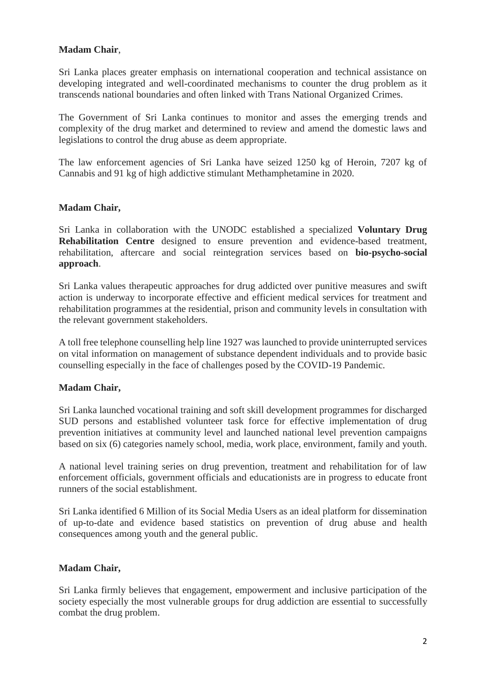# **Madam Chair**,

Sri Lanka places greater emphasis on international cooperation and technical assistance on developing integrated and well-coordinated mechanisms to counter the drug problem as it transcends national boundaries and often linked with Trans National Organized Crimes.

The Government of Sri Lanka continues to monitor and asses the emerging trends and complexity of the drug market and determined to review and amend the domestic laws and legislations to control the drug abuse as deem appropriate.

The law enforcement agencies of Sri Lanka have seized 1250 kg of Heroin, 7207 kg of Cannabis and 91 kg of high addictive stimulant Methamphetamine in 2020.

### **Madam Chair,**

Sri Lanka in collaboration with the UNODC established a specialized **Voluntary Drug Rehabilitation Centre** designed to ensure prevention and evidence-based treatment, rehabilitation, aftercare and social reintegration services based on **bio-psycho-social approach**.

Sri Lanka values therapeutic approaches for drug addicted over punitive measures and swift action is underway to incorporate effective and efficient medical services for treatment and rehabilitation programmes at the residential, prison and community levels in consultation with the relevant government stakeholders.

A toll free telephone counselling help line 1927 was launched to provide uninterrupted services on vital information on management of substance dependent individuals and to provide basic counselling especially in the face of challenges posed by the COVID-19 Pandemic.

## **Madam Chair,**

Sri Lanka launched vocational training and soft skill development programmes for discharged SUD persons and established volunteer task force for effective implementation of drug prevention initiatives at community level and launched national level prevention campaigns based on six (6) categories namely school, media, work place, environment, family and youth.

A national level training series on drug prevention, treatment and rehabilitation for of law enforcement officials, government officials and educationists are in progress to educate front runners of the social establishment.

Sri Lanka identified 6 Million of its Social Media Users as an ideal platform for dissemination of up-to-date and evidence based statistics on prevention of drug abuse and health consequences among youth and the general public.

#### **Madam Chair,**

Sri Lanka firmly believes that engagement, empowerment and inclusive participation of the society especially the most vulnerable groups for drug addiction are essential to successfully combat the drug problem.